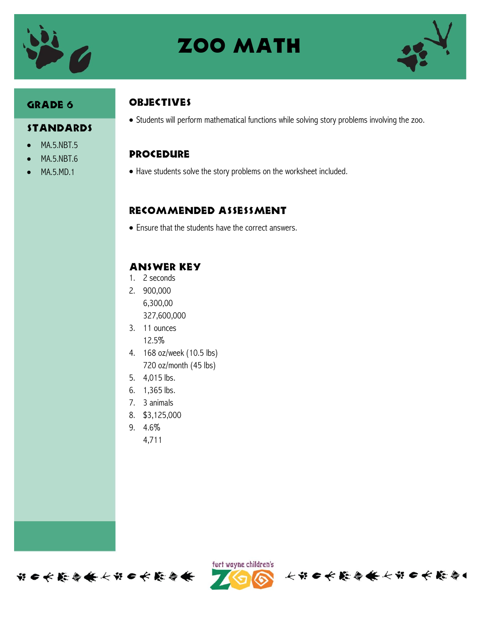

# **ZOO MATH**



#### GRADE 6

#### **STANDARDS**

- MA.5.NBT.5
- MA.5.NBT.6
- MA.5.MD.1

# **OBJECTIVES**

Students will perform mathematical functions while solving story problems involving the zoo.

#### Procedure

Have students solve the story problems on the worksheet included.

## Recommended assessment

Ensure that the students have the correct answers.

## Answer Key

- 1. 2 seconds
- 2. 900,000 6,300,00 327,600,000
- 3. 11 ounces 12.5%
- 4. 168 oz/week (10.5 lbs) 720 oz/month (45 lbs)
- 5. 4,015 lbs.
- 6. 1,365 lbs.
- 7. 3 animals
- 8. \$3,125,000
- 9. 4.6%
	- 4,711





长期口长能会条长部口长能会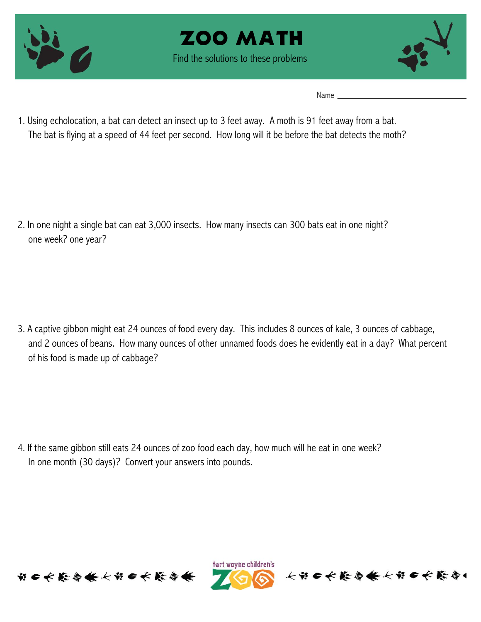





Name  $\_\_$ 

1. Using echolocation, a bat can detect an insect up to 3 feet away. A moth is 91 feet away from a bat. The bat is flying at a speed of 44 feet per second. How long will it be before the bat detects the moth?

2. In one night a single bat can eat 3,000 insects. How many insects can 300 bats eat in one night? one week? one year?

3. A captive gibbon might eat 24 ounces of food every day. This includes 8 ounces of kale, 3 ounces of cabbage, and 2 ounces of beans. How many ounces of other unnamed foods does he evidently eat in a day? What percent of his food is made up of cabbage?

4. If the same gibbon still eats 24 ounces of zoo food each day, how much will he eat in one week? In one month (30 days)? Convert your answers into pounds.